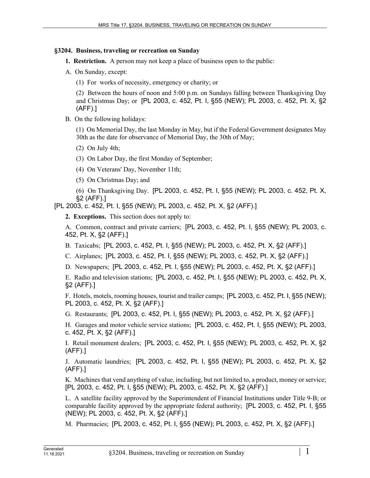## **§3204. Business, traveling or recreation on Sunday**

- **1. Restriction.** A person may not keep a place of business open to the public:
- A. On Sunday, except:
	- (1) For works of necessity, emergency or charity; or

(2) Between the hours of noon and 5:00 p.m. on Sundays falling between Thanksgiving Day and Christmas Day; or [PL 2003, c. 452, Pt. I, §55 (NEW); PL 2003, c. 452, Pt. X, §2 (AFF).]

B. On the following holidays:

(1) On Memorial Day, the last Monday in May, but if the Federal Government designates May 30th as the date for observance of Memorial Day, the 30th of May;

(2) On July 4th;

(3) On Labor Day, the first Monday of September;

(4) On Veterans' Day, November 11th;

(5) On Christmas Day; and

(6) On Thanksgiving Day. [PL 2003, c. 452, Pt. I, §55 (NEW); PL 2003, c. 452, Pt. X, §2 (AFF).]

[PL 2003, c. 452, Pt. I, §55 (NEW); PL 2003, c. 452, Pt. X, §2 (AFF).]

**2. Exceptions.** This section does not apply to:

A. Common, contract and private carriers; [PL 2003, c. 452, Pt. I, §55 (NEW); PL 2003, c. 452, Pt. X, §2 (AFF).]

B. Taxicabs; [PL 2003, c. 452, Pt. I, §55 (NEW); PL 2003, c. 452, Pt. X, §2 (AFF).]

C. Airplanes; [PL 2003, c. 452, Pt. I, §55 (NEW); PL 2003, c. 452, Pt. X, §2 (AFF).]

D. Newspapers; [PL 2003, c. 452, Pt. I, §55 (NEW); PL 2003, c. 452, Pt. X, §2 (AFF).]

E. Radio and television stations; [PL 2003, c. 452, Pt. I, §55 (NEW); PL 2003, c. 452, Pt. X, §2 (AFF).]

F. Hotels, motels, rooming houses, tourist and trailer camps; [PL 2003, c. 452, Pt. I, §55 (NEW); PL 2003, c. 452, Pt. X, §2 (AFF).]

G. Restaurants; [PL 2003, c. 452, Pt. I, §55 (NEW); PL 2003, c. 452, Pt. X, §2 (AFF).]

H. Garages and motor vehicle service stations; [PL 2003, c. 452, Pt. I, §55 (NEW); PL 2003, c. 452, Pt. X, §2 (AFF).]

I. Retail monument dealers; [PL 2003, c. 452, Pt. I, §55 (NEW); PL 2003, c. 452, Pt. X, §2 (AFF).]

J. Automatic laundries; [PL 2003, c. 452, Pt. I, §55 (NEW); PL 2003, c. 452, Pt. X, §2 (AFF).]

K. Machines that vend anything of value, including, but not limited to, a product, money or service; [PL 2003, c. 452, Pt. I, §55 (NEW); PL 2003, c. 452, Pt. X, §2 (AFF).]

L. A satellite facility approved by the Superintendent of Financial Institutions under Title 9‑B; or comparable facility approved by the appropriate federal authority; [PL 2003, c. 452, Pt. I, §55 (NEW); PL 2003, c. 452, Pt. X, §2 (AFF).]

M. Pharmacies; [PL 2003, c. 452, Pt. I, §55 (NEW); PL 2003, c. 452, Pt. X, §2 (AFF).]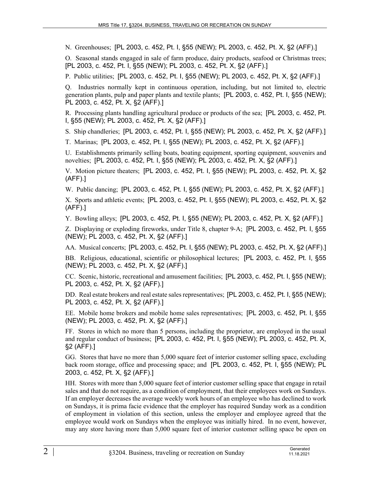N. Greenhouses; [PL 2003, c. 452, Pt. I, §55 (NEW); PL 2003, c. 452, Pt. X, §2 (AFF).]

O. Seasonal stands engaged in sale of farm produce, dairy products, seafood or Christmas trees; [PL 2003, c. 452, Pt. I, §55 (NEW); PL 2003, c. 452, Pt. X, §2 (AFF).]

P. Public utilities; [PL 2003, c. 452, Pt. I, §55 (NEW); PL 2003, c. 452, Pt. X, §2 (AFF).]

Q. Industries normally kept in continuous operation, including, but not limited to, electric generation plants, pulp and paper plants and textile plants; [PL 2003, c. 452, Pt. I, §55 (NEW); PL 2003, c. 452, Pt. X, §2 (AFF).]

R. Processing plants handling agricultural produce or products of the sea; [PL 2003, c. 452, Pt. I, §55 (NEW); PL 2003, c. 452, Pt. X, §2 (AFF).]

S. Ship chandleries; [PL 2003, c. 452, Pt. I, §55 (NEW); PL 2003, c. 452, Pt. X, §2 (AFF).]

T. Marinas; [PL 2003, c. 452, Pt. I, §55 (NEW); PL 2003, c. 452, Pt. X, §2 (AFF).]

U. Establishments primarily selling boats, boating equipment, sporting equipment, souvenirs and novelties; [PL 2003, c. 452, Pt. I, §55 (NEW); PL 2003, c. 452, Pt. X, §2 (AFF).]

V. Motion picture theaters; [PL 2003, c. 452, Pt. I, §55 (NEW); PL 2003, c. 452, Pt. X, §2 (AFF).]

W. Public dancing; [PL 2003, c. 452, Pt. I, §55 (NEW); PL 2003, c. 452, Pt. X, §2 (AFF).]

X. Sports and athletic events; [PL 2003, c. 452, Pt. I, §55 (NEW); PL 2003, c. 452, Pt. X, §2 (AFF).]

Y. Bowling alleys; [PL 2003, c. 452, Pt. I, §55 (NEW); PL 2003, c. 452, Pt. X, §2 (AFF).]

Z. Displaying or exploding fireworks, under Title 8, chapter 9‑A; [PL 2003, c. 452, Pt. I, §55 (NEW); PL 2003, c. 452, Pt. X, §2 (AFF).]

AA. Musical concerts; [PL 2003, c. 452, Pt. I, §55 (NEW); PL 2003, c. 452, Pt. X, §2 (AFF).]

BB. Religious, educational, scientific or philosophical lectures; [PL 2003, c. 452, Pt. I, §55 (NEW); PL 2003, c. 452, Pt. X, §2 (AFF).]

CC. Scenic, historic, recreational and amusement facilities; [PL 2003, c. 452, Pt. I, §55 (NEW); PL 2003, c. 452, Pt. X, §2 (AFF).]

DD. Real estate brokers and real estate sales representatives; [PL 2003, c. 452, Pt. I, §55 (NEW); PL 2003, c. 452, Pt. X, §2 (AFF).]

EE. Mobile home brokers and mobile home sales representatives; [PL 2003, c. 452, Pt. I, §55 (NEW); PL 2003, c. 452, Pt. X, §2 (AFF).]

FF. Stores in which no more than 5 persons, including the proprietor, are employed in the usual and regular conduct of business; [PL 2003, c. 452, Pt. I, §55 (NEW); PL 2003, c. 452, Pt. X, §2 (AFF).]

GG. Stores that have no more than 5,000 square feet of interior customer selling space, excluding back room storage, office and processing space; and [PL 2003, c. 452, Pt. I, §55 (NEW); PL 2003, c. 452, Pt. X, §2 (AFF).]

HH. Stores with more than 5,000 square feet of interior customer selling space that engage in retail sales and that do not require, as a condition of employment, that their employees work on Sundays. If an employer decreases the average weekly work hours of an employee who has declined to work on Sundays, it is prima facie evidence that the employer has required Sunday work as a condition of employment in violation of this section, unless the employer and employee agreed that the employee would work on Sundays when the employee was initially hired. In no event, however, may any store having more than 5,000 square feet of interior customer selling space be open on